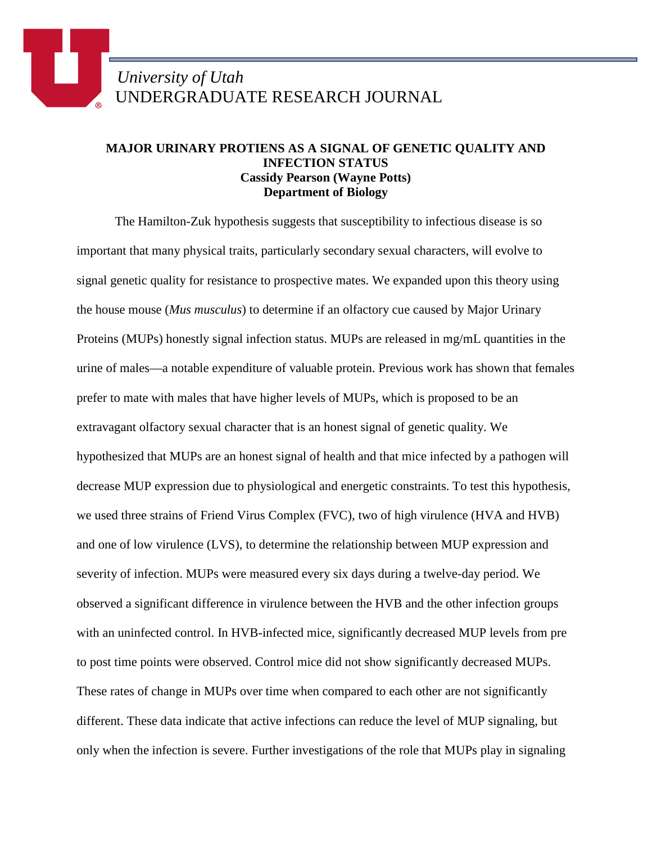## **MAJOR URINARY PROTIENS AS A SIGNAL OF GENETIC QUALITY AND INFECTION STATUS Cassidy Pearson (Wayne Potts) Department of Biology**

The Hamilton-Zuk hypothesis suggests that susceptibility to infectious disease is so important that many physical traits, particularly secondary sexual characters, will evolve to signal genetic quality for resistance to prospective mates. We expanded upon this theory using the house mouse (*Mus musculus*) to determine if an olfactory cue caused by Major Urinary Proteins (MUPs) honestly signal infection status. MUPs are released in mg/mL quantities in the urine of males—a notable expenditure of valuable protein. Previous work has shown that females prefer to mate with males that have higher levels of MUPs, which is proposed to be an extravagant olfactory sexual character that is an honest signal of genetic quality. We hypothesized that MUPs are an honest signal of health and that mice infected by a pathogen will decrease MUP expression due to physiological and energetic constraints. To test this hypothesis, we used three strains of Friend Virus Complex (FVC), two of high virulence (HVA and HVB) and one of low virulence (LVS), to determine the relationship between MUP expression and severity of infection. MUPs were measured every six days during a twelve-day period. We observed a significant difference in virulence between the HVB and the other infection groups with an uninfected control. In HVB-infected mice, significantly decreased MUP levels from pre to post time points were observed. Control mice did not show significantly decreased MUPs. These rates of change in MUPs over time when compared to each other are not significantly different. These data indicate that active infections can reduce the level of MUP signaling, but only when the infection is severe. Further investigations of the role that MUPs play in signaling